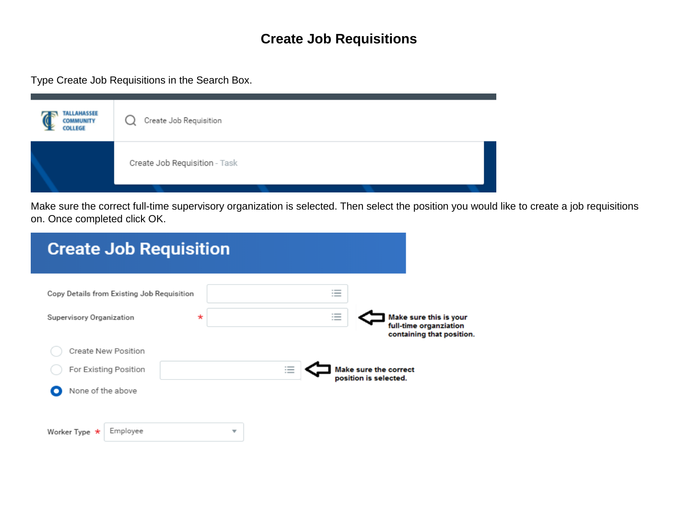## **Create Job Requisitions**

Type Create Job Requisitions in the Search Box.

| <b>TALLAHASSEE</b><br><b>COMMUNITY</b><br><b>COLLEGE</b> | Create Job Requisition        |
|----------------------------------------------------------|-------------------------------|
|                                                          | Create Job Requisition - Task |

Make sure the correct full-time supervisory organization is selected. Then select the position you would like to create a job requisitions on. Once completed click OK.

| <b>Create Job Requisition</b>              |                                                                                                                                                  |
|--------------------------------------------|--------------------------------------------------------------------------------------------------------------------------------------------------|
| Copy Details from Existing Job Requisition | --<br>$-$<br>$\cdots$                                                                                                                            |
| $\ast$<br>Supervisory Organization         | $\overline{\phantom{a}}$<br>Make sure this is your<br>$\overline{\phantom{a}}$<br>$\cdots$<br>full-time organziation<br>containing that position |
| Create New Position                        |                                                                                                                                                  |
| For Existing Position                      | $\overline{\phantom{a}}$<br>Make sure the correct<br>$\overline{\phantom{a}}$<br>$\cdots$<br>position is selected.                               |
| None of the above                          |                                                                                                                                                  |
|                                            |                                                                                                                                                  |
| Employee<br>Worker Type $\star$<br>▼       |                                                                                                                                                  |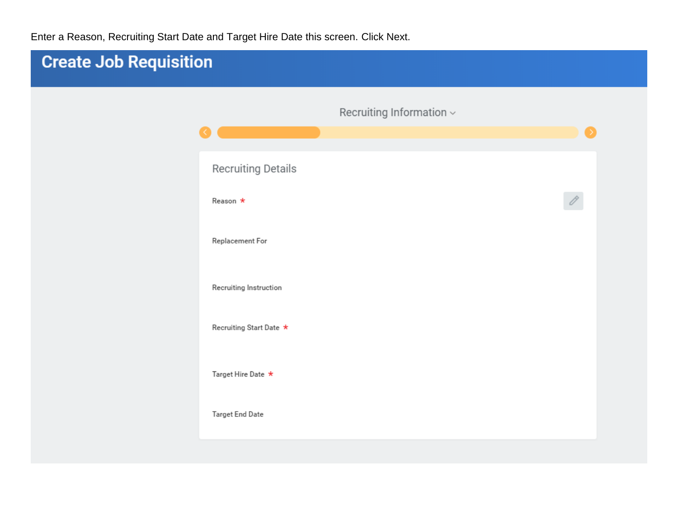Enter a Reason, Recruiting Start Date and Target Hire Date this screen. Click Next.

| <b>Create Job Requisition</b> |                          |                                   |           |
|-------------------------------|--------------------------|-----------------------------------|-----------|
|                               | ∢                        | Recruiting Information $\backsim$ | $\bullet$ |
|                               | Recruiting Details       |                                   |           |
|                               | Reason *                 |                                   | V         |
|                               | Replacement For          |                                   |           |
|                               | Recruiting Instruction   |                                   |           |
|                               | Recruiting Start Date *  |                                   |           |
|                               | Target Hire Date $\star$ |                                   |           |
|                               | Target End Date          |                                   |           |
|                               |                          |                                   |           |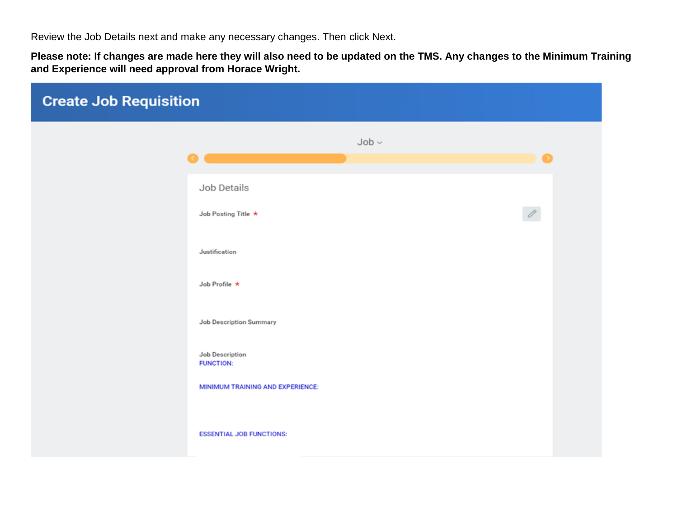Review the Job Details next and make any necessary changes. Then click Next.

**Please note: If changes are made here they will also need to be updated on the TMS. Any changes to the Minimum Training and Experience will need approval from Horace Wright.**

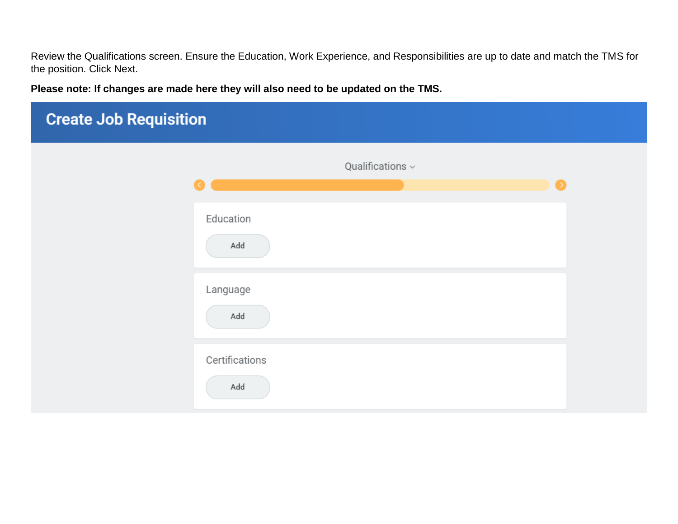Review the Qualifications screen. Ensure the Education, Work Experience, and Responsibilities are up to date and match the TMS for the position. Click Next.

**Please note: If changes are made here they will also need to be updated on the TMS.** 

| <b>Create Job Requisition</b> |                              |           |  |
|-------------------------------|------------------------------|-----------|--|
|                               | Qualifications $\smallsmile$ | $\bullet$ |  |
|                               | Education<br>Add             |           |  |
|                               | Language<br>Add              |           |  |
|                               | Certifications<br>Add        |           |  |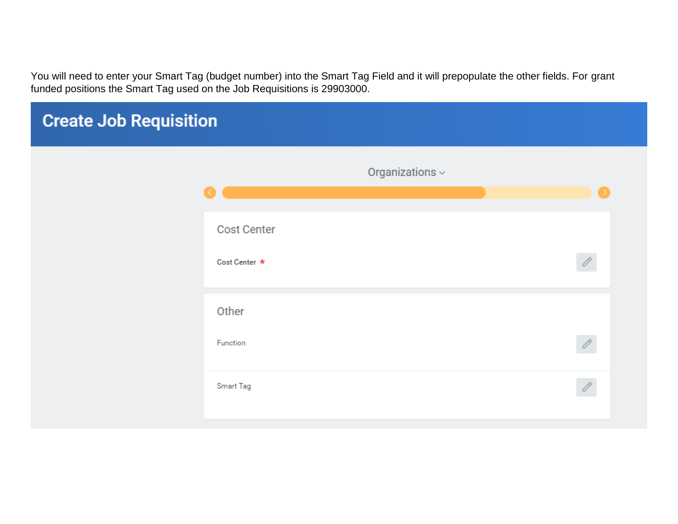You will need to enter your Smart Tag (budget number) into the Smart Tag Field and it will prepopulate the other fields. For grant funded positions the Smart Tag used on the Job Requisitions is 29903000.

| <b>Create Job Requisition</b> |                              |                             |               |
|-------------------------------|------------------------------|-----------------------------|---------------|
|                               |                              | Organizations $\smallsmile$ |               |
|                               | Cost Center<br>Cost Center * |                             | $\mathscr{O}$ |
|                               | Other<br>Function            |                             | 0             |
|                               | Smart Tag                    |                             | $\mathscr{O}$ |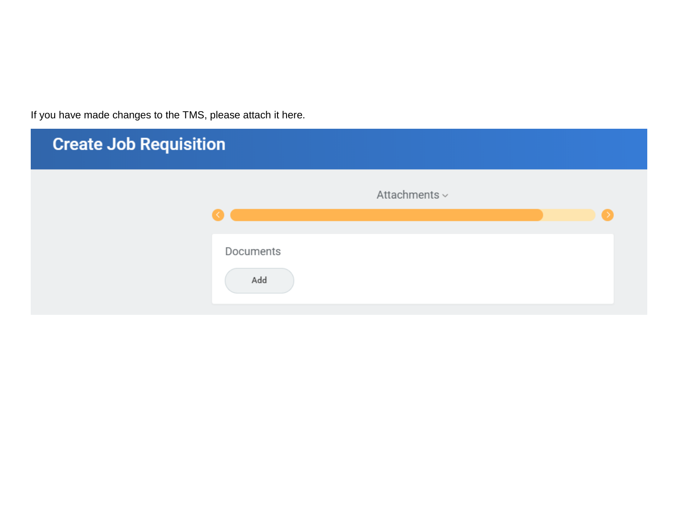If you have made changes to the TMS, please attach it here.

| <b>Create Job Requisition</b> |                  |                    |  |
|-------------------------------|------------------|--------------------|--|
|                               |                  | Attachments $\sim$ |  |
|                               | Documents<br>Add |                    |  |